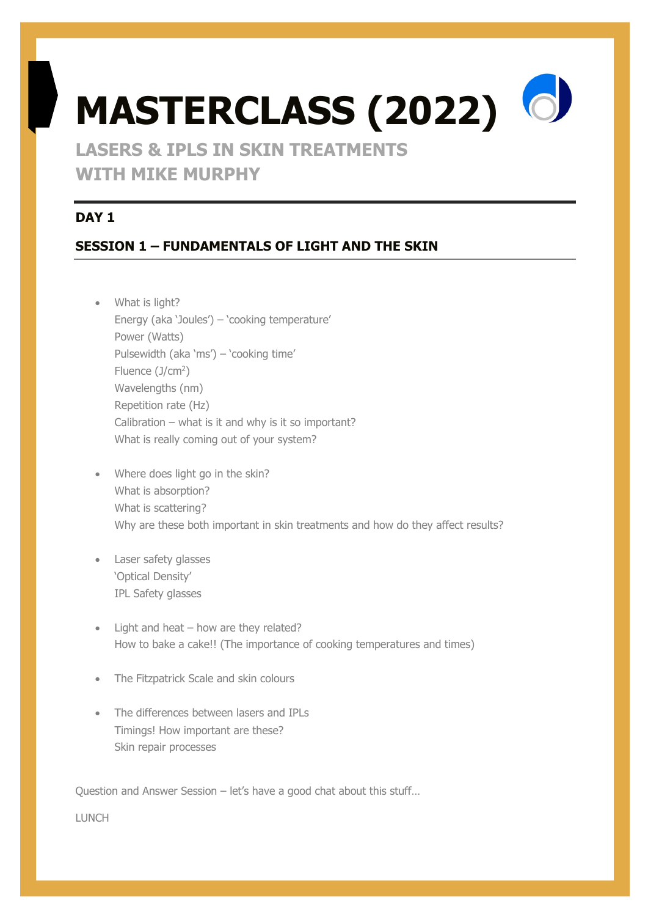# **MASTERCLASS (2022) LASERS & IPLS IN SKIN TREATMENTS**

**WITH MIKE MURPHY**

# **DAY 1**

# **SESSION 1 – FUNDAMENTALS OF LIGHT AND THE SKIN**

- What is light? Energy (aka 'Joules') – 'cooking temperature' Power (Watts) Pulsewidth (aka 'ms') – 'cooking time' Fluence  $(J/cm<sup>2</sup>)$ Wavelengths (nm) Repetition rate (Hz) Calibration – what is it and why is it so important? What is really coming out of your system?
- Where does light go in the skin? What is absorption? What is scattering? Why are these both important in skin treatments and how do they affect results?
- Laser safety glasses 'Optical Density' IPL Safety glasses
- Light and heat how are they related? How to bake a cake!! (The importance of cooking temperatures and times)
- The Fitzpatrick Scale and skin colours
- The differences between lasers and IPLs Timings! How important are these? Skin repair processes

Question and Answer Session – let's have a good chat about this stuff…

**LUNCH**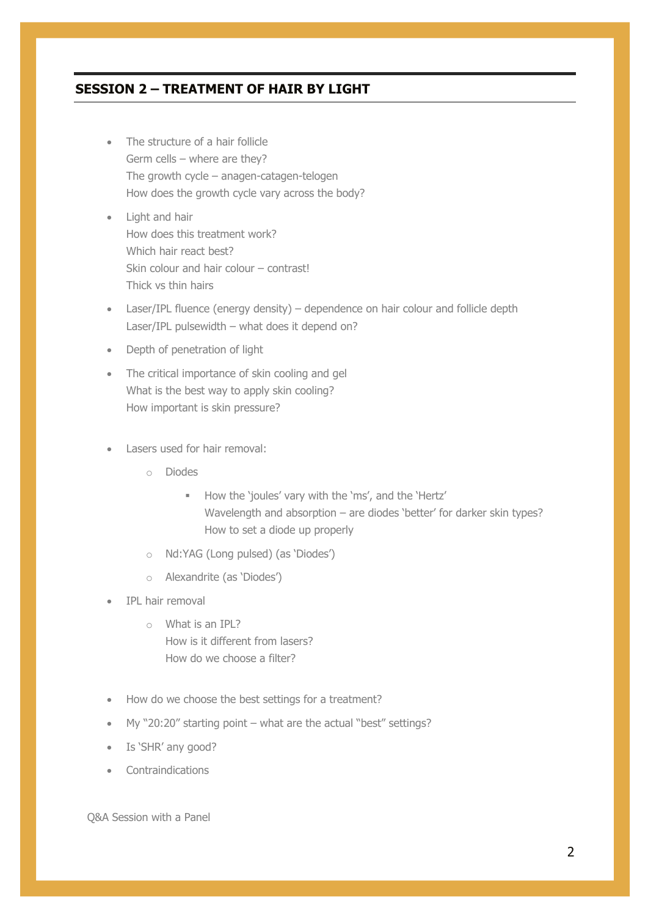# **SESSION 2 – TREATMENT OF HAIR BY LIGHT**

- The structure of a hair follicle Germ cells – where are they? The growth cycle – anagen-catagen-telogen How does the growth cycle vary across the body?
- Light and hair How does this treatment work? Which hair react best? Skin colour and hair colour – contrast! Thick vs thin hairs
- Laser/IPL fluence (energy density) dependence on hair colour and follicle depth Laser/IPL pulsewidth – what does it depend on?
- Depth of penetration of light
- The critical importance of skin cooling and gel What is the best way to apply skin cooling? How important is skin pressure?
- Lasers used for hair removal:
	- o Diodes
		- § How the 'joules' vary with the 'ms', and the 'Hertz' Wavelength and absorption – are diodes 'better' for darker skin types? How to set a diode up properly
	- o Nd:YAG (Long pulsed) (as 'Diodes')
	- o Alexandrite (as 'Diodes')
- IPL hair removal
	- o What is an IPL? How is it different from lasers? How do we choose a filter?
- How do we choose the best settings for a treatment?
- My "20:20" starting point what are the actual "best" settings?
- Is 'SHR' any good?
- Contraindications

Q&A Session with a Panel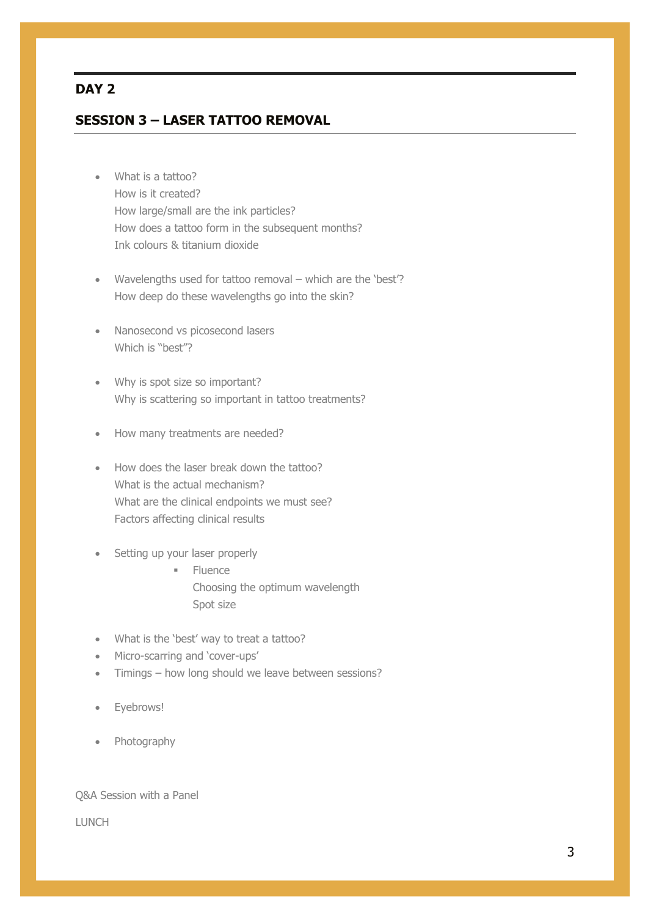## **DAY 2**

## **SESSION 3 – LASER TATTOO REMOVAL**

- What is a tattoo? How is it created? How large/small are the ink particles? How does a tattoo form in the subsequent months? Ink colours & titanium dioxide
- Wavelengths used for tattoo removal which are the 'best'? How deep do these wavelengths go into the skin?
- Nanosecond vs picosecond lasers Which is "best"?
- Why is spot size so important? Why is scattering so important in tattoo treatments?
- How many treatments are needed?
- How does the laser break down the tattoo? What is the actual mechanism? What are the clinical endpoints we must see? Factors affecting clinical results
- Setting up your laser properly
	- § Fluence Choosing the optimum wavelength Spot size
- What is the 'best' way to treat a tattoo?
- Micro-scarring and 'cover-ups'
- Timings how long should we leave between sessions?
- Eyebrows!
- Photography

#### Q&A Session with a Panel

LUNCH